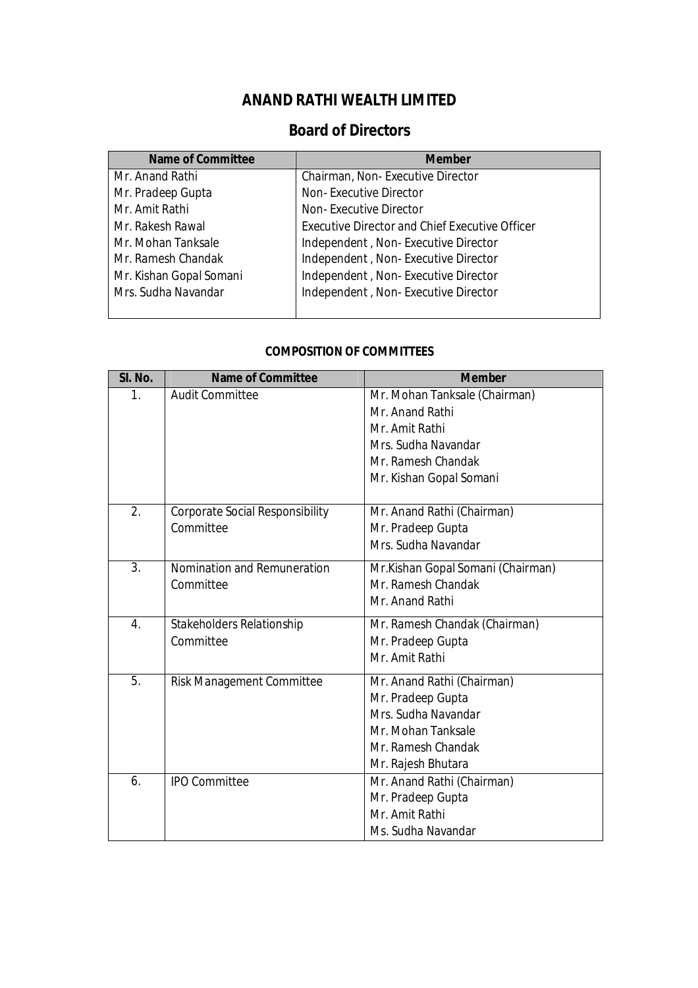## **ANAND RATHI WEALTH LIMITED**

## **Board of Directors**

| <b>Name of Committee</b> | <b>Member</b>                                         |
|--------------------------|-------------------------------------------------------|
| Mr. Anand Rathi          | Chairman, Non-Executive Director                      |
| Mr. Pradeep Gupta        | Non-Executive Director                                |
| Mr. Amit Rathi           | Non-Executive Director                                |
| Mr. Rakesh Rawal         | <b>Executive Director and Chief Executive Officer</b> |
| Mr. Mohan Tanksale       | Independent, Non-Executive Director                   |
| Mr. Ramesh Chandak       | Independent, Non-Executive Director                   |
| Mr. Kishan Gopal Somani  | Independent, Non-Executive Director                   |
| Mrs. Sudha Navandar      | Independent, Non-Executive Director                   |
|                          |                                                       |

#### **COMPOSITION OF COMMITTEES**

| SI. No. | <b>Name of Committee</b>               | <b>Member</b>                     |
|---------|----------------------------------------|-----------------------------------|
| 1.      | <b>Audit Committee</b>                 | Mr. Mohan Tanksale (Chairman)     |
|         |                                        | Mr. Anand Rathi                   |
|         |                                        | Mr. Amit Rathi                    |
|         |                                        | Mrs. Sudha Navandar               |
|         |                                        | Mr. Ramesh Chandak                |
|         |                                        | Mr. Kishan Gopal Somani           |
|         |                                        |                                   |
| 2.      | <b>Corporate Social Responsibility</b> | Mr. Anand Rathi (Chairman)        |
|         | Committee                              | Mr. Pradeep Gupta                 |
|         |                                        | Mrs. Sudha Navandar               |
| 3.      | Nomination and Remuneration            | Mr.Kishan Gopal Somani (Chairman) |
|         | Committee                              | Mr. Ramesh Chandak                |
|         |                                        | Mr. Anand Rathi                   |
| 4.      | Stakeholders Relationship              | Mr. Ramesh Chandak (Chairman)     |
|         | Committee                              | Mr. Pradeep Gupta                 |
|         |                                        | Mr. Amit Rathi                    |
| 5.      | <b>Risk Management Committee</b>       | Mr. Anand Rathi (Chairman)        |
|         |                                        | Mr. Pradeep Gupta                 |
|         |                                        | Mrs. Sudha Navandar               |
|         |                                        | Mr. Mohan Tanksale                |
|         |                                        | Mr. Ramesh Chandak                |
|         |                                        | Mr. Rajesh Bhutara                |
| 6.      | <b>IPO Committee</b>                   | Mr. Anand Rathi (Chairman)        |
|         |                                        | Mr. Pradeep Gupta                 |
|         |                                        | Mr. Amit Rathi                    |
|         |                                        | Ms. Sudha Navandar                |